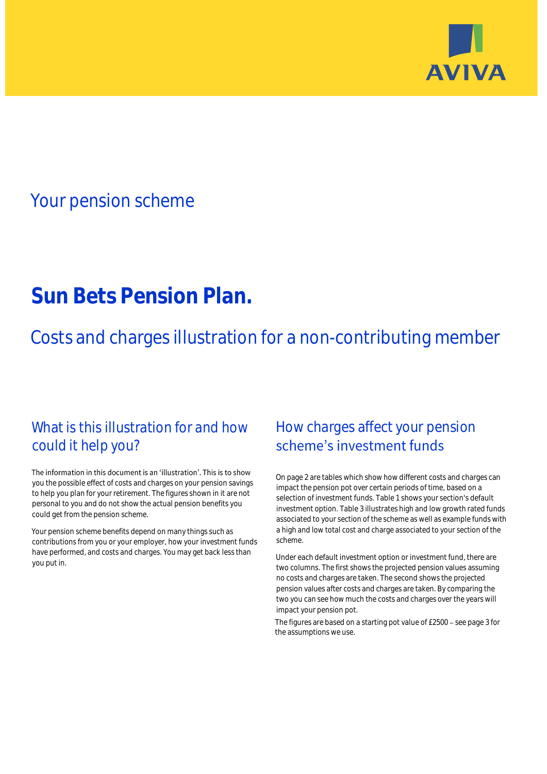

## Your pension scheme

# **Sun Bets Pension Plan.**

Costs and charges illustration for a non-contributing member

### What is this illustration for and how could it help you?

#### The information in this document is an 'illustration'. This is to show you the possible effect of costs and charges on your pension savings to help you plan for your retirement. The figures shown in it are not personal to you and do not show the actual pension benefits you could get from the pension scheme.

Your pension scheme benefits depend on many things such as contributions from you or your employer, how your investment funds have performed, and costs and charges. You may get back less than you put in.

### How charges affect your pension scheme's investment funds

On page 2 are tables which show how different costs and charges can impact the pension pot over certain periods of time, based on a selection of investment funds. Table 1 shows your section's default investment option. Table 3 illustrates high and low growth rated funds associated to your section of the scheme as well as example funds with a high and low total cost and charge associated to your section of the scheme.

Under each default investment option or investment fund, there are two columns. The first shows the projected pension values assuming no costs and charges are taken. The second shows the projected pension values after costs and charges are taken. By comparing the two you can see how much the costs and charges over the years will impact your pension pot.

The figures are based on a starting pot value of £2500 - see page 3 for the assumptions we use.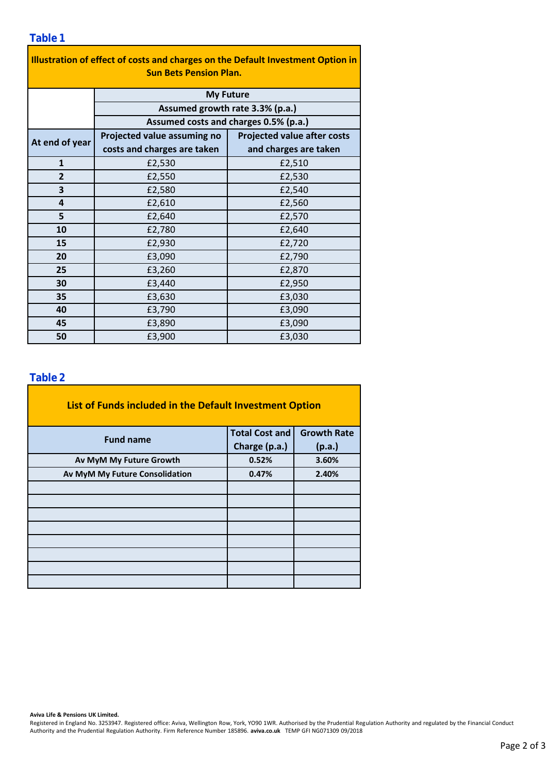| Illustration of effect of costs and charges on the Default Investment Option in |                                                                                              |                                    |  |  |  |  |  |  |  |
|---------------------------------------------------------------------------------|----------------------------------------------------------------------------------------------|------------------------------------|--|--|--|--|--|--|--|
| <b>Sun Bets Pension Plan.</b>                                                   |                                                                                              |                                    |  |  |  |  |  |  |  |
|                                                                                 | <b>My Future</b><br>Assumed growth rate 3.3% (p.a.)<br>Assumed costs and charges 0.5% (p.a.) |                                    |  |  |  |  |  |  |  |
|                                                                                 |                                                                                              |                                    |  |  |  |  |  |  |  |
|                                                                                 |                                                                                              |                                    |  |  |  |  |  |  |  |
| At end of year                                                                  | Projected value assuming no                                                                  | <b>Projected value after costs</b> |  |  |  |  |  |  |  |
|                                                                                 | costs and charges are taken                                                                  | and charges are taken              |  |  |  |  |  |  |  |
| $\mathbf{1}$                                                                    | £2,530                                                                                       | £2,510                             |  |  |  |  |  |  |  |
| $\overline{2}$                                                                  | £2,550                                                                                       | £2,530                             |  |  |  |  |  |  |  |
| 3                                                                               | £2,580                                                                                       | £2,540                             |  |  |  |  |  |  |  |
| 4                                                                               | £2,610                                                                                       | £2,560                             |  |  |  |  |  |  |  |
| 5                                                                               | £2,640                                                                                       | £2,570                             |  |  |  |  |  |  |  |
| 10                                                                              | £2,780                                                                                       | £2,640                             |  |  |  |  |  |  |  |
| 15                                                                              | £2,930                                                                                       | £2,720                             |  |  |  |  |  |  |  |
| 20                                                                              | £3,090                                                                                       | £2,790                             |  |  |  |  |  |  |  |
| 25                                                                              | £3,260                                                                                       | £2,870                             |  |  |  |  |  |  |  |
| 30                                                                              | £3,440                                                                                       | £2,950                             |  |  |  |  |  |  |  |
| 35                                                                              | £3,630                                                                                       | £3,030                             |  |  |  |  |  |  |  |
| 40                                                                              | £3,790                                                                                       | £3,090                             |  |  |  |  |  |  |  |
| 45                                                                              | £3,890                                                                                       | £3,090                             |  |  |  |  |  |  |  |
| 50                                                                              | £3,900                                                                                       | £3,030                             |  |  |  |  |  |  |  |

÷,

#### **Table 2**

| List of Funds included in the Default Investment Option |                       |                    |  |  |  |  |  |  |
|---------------------------------------------------------|-----------------------|--------------------|--|--|--|--|--|--|
| <b>Fund name</b>                                        | <b>Total Cost and</b> | <b>Growth Rate</b> |  |  |  |  |  |  |
|                                                         | Charge (p.a.)         | (p.a.)             |  |  |  |  |  |  |
| Av MyM My Future Growth                                 | 0.52%                 | 3.60%              |  |  |  |  |  |  |
| Av MyM My Future Consolidation                          | 0.47%                 | 2.40%              |  |  |  |  |  |  |
|                                                         |                       |                    |  |  |  |  |  |  |
|                                                         |                       |                    |  |  |  |  |  |  |
|                                                         |                       |                    |  |  |  |  |  |  |
|                                                         |                       |                    |  |  |  |  |  |  |
|                                                         |                       |                    |  |  |  |  |  |  |
|                                                         |                       |                    |  |  |  |  |  |  |
|                                                         |                       |                    |  |  |  |  |  |  |
|                                                         |                       |                    |  |  |  |  |  |  |

**Aviva Life & Pensions UK Limited.**

Registered in England No. 3253947. Registered office: Aviva, Wellington Row, York, YO90 1WR. Authorised by the Prudential Regulation Authority and regulated by the Financial Conduct Authority and the Prudential Regulation Authority. Firm Reference Number 185896. **aviva.co.uk** TEMP GFI NG071309 09/2018